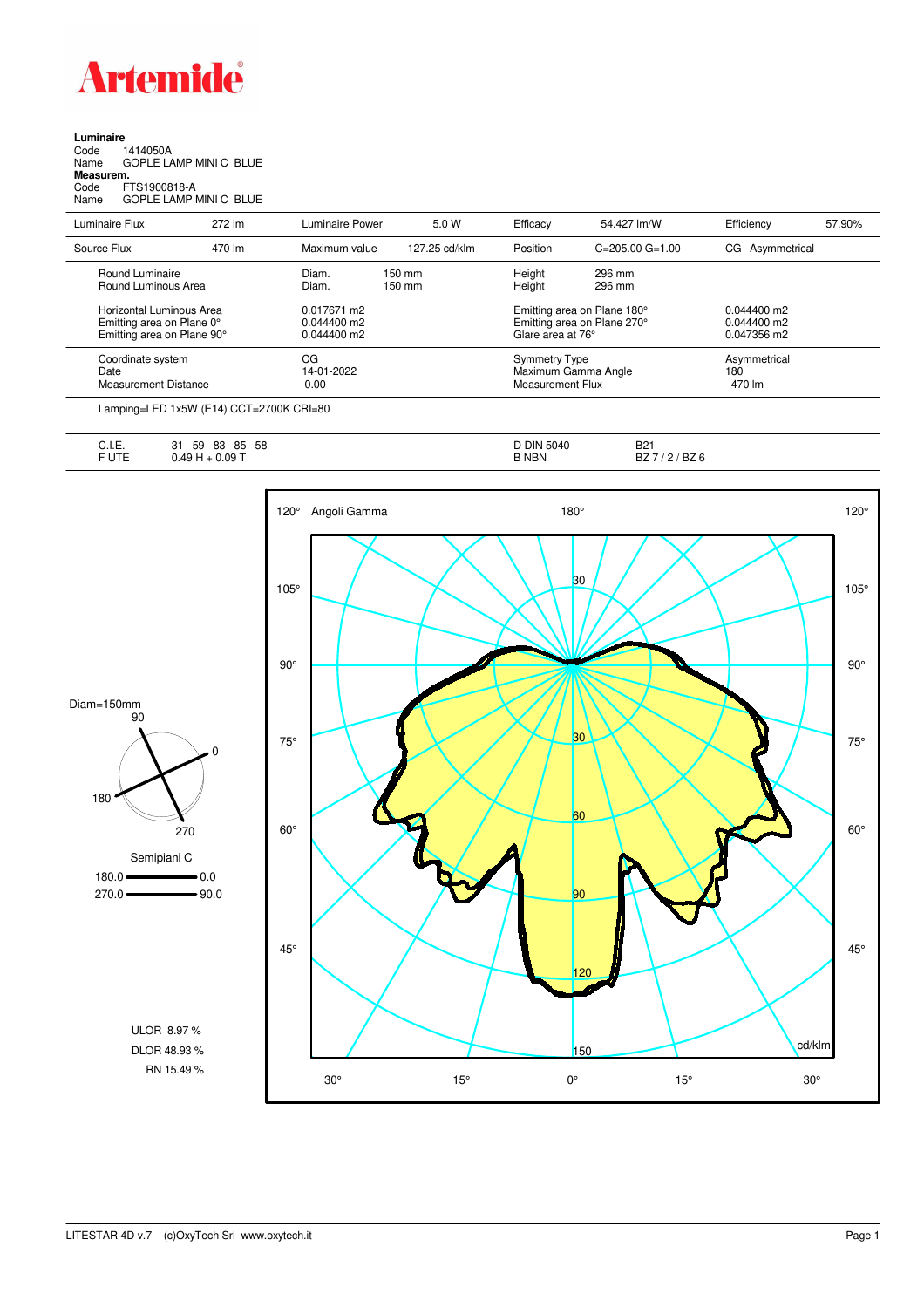

**Luminaire**<br>Code 1<br>Name ( Code 1414050A Name GOPLE LAMP MINI C BLUE **Measurem.**

Code FTS1900818-A Name GOPLE LAMP MINI C BLUE

| Luminaire Flux              | 272 lm | Luminaire Power | 5.0 W            | Efficacy                    | 54.427 lm/W                 | Efficiency      | 57.90%      |  |
|-----------------------------|--------|-----------------|------------------|-----------------------------|-----------------------------|-----------------|-------------|--|
| Source Flux                 | 470 lm | Maximum value   | 127.25 cd/klm    | Position                    | $C = 205.00$ $G = 1.00$     | CG Asymmetrical |             |  |
| Round Luminaire             |        | Diam.           | 150 mm           | Height                      | 296 mm                      |                 |             |  |
| Round Luminous Area         |        | Diam.           | $150 \text{ mm}$ |                             | 296 mm                      |                 |             |  |
| Horizontal Luminous Area    |        | 0.017671 m2     |                  | Emitting area on Plane 180° |                             | $0.044400$ m2   |             |  |
| Emitting area on Plane 0°   |        | $0.044400$ m2   |                  |                             | Emitting area on Plane 270° |                 |             |  |
| Emitting area on Plane 90°  |        | $0.044400$ m2   |                  |                             | Glare area at 76°           |                 | 0.047356 m2 |  |
| Coordinate system           |        | CG              |                  | <b>Symmetry Type</b>        |                             | Asymmetrical    |             |  |
| Date                        |        | 14-01-2022      |                  | Maximum Gamma Angle         |                             | 180             |             |  |
| <b>Measurement Distance</b> |        | 0.00            |                  | Measurement Flux            |                             | 470 lm          |             |  |

Lamping=LED 1x5W (E14) CCT=2700K CRI=80

| $\overline{\phantom{a}}$<br>◡.୲.∟. | 59<br>58<br>83<br>85<br>ີ<br>ا پ | <b>DIN</b><br>5040 | <b>DO1</b><br>DZ 1 |
|------------------------------------|----------------------------------|--------------------|--------------------|
| $  -$                              | 0.09T<br>AC<br>$\mathbf{r}$      | 3 NBN              | BZ 6<br>DZ         |